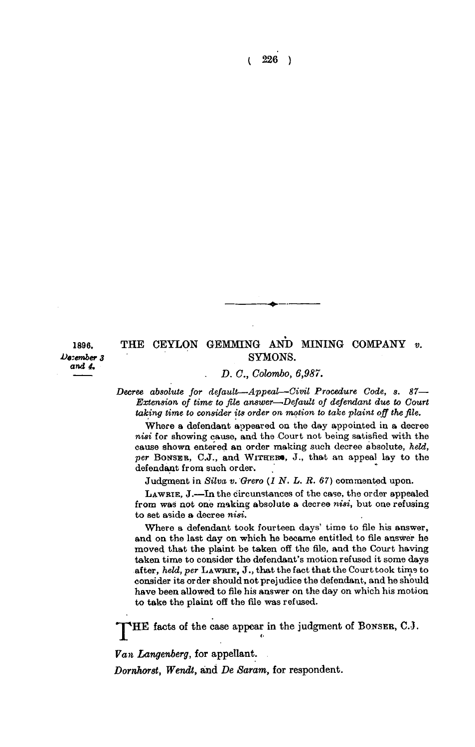**( 226 )** 

*and 4.* 

## 1896. THE CEYLON GEMMING AND MINING COMPANY *v.* SYMONS.  $SYMONS.$

*D. C, Colombo, 6,987.* 

*Decree absolute for default—Appeal—Civil Procedure Code, s. 87— Extension of time to file answer—'Default of defendant due to Court taking time to consider its order on motion to take plaint off the file.* 

**Where a defendant appeared on the day appointed in a decree**  *nisi* **for showing cause, and the Court not being satisfied with the cause shown entered an order making such decree absolute,** *held, per* **BONSEB, C.J., and WITHER\* , J., that an appeal lay to the defendant from such order.** 

**Judgment in** *Silva v. Qrero (1 N. L. R. 67)* **commented upon.** 

**LAWRIE , J.—In the circunstances of the case, the order appealed from was not one making absolute a decree** *nisi,* **but one refusing to set aside a decree** *nisi.* 

**Where a defendant took fourteen days' time to file his answer, and on the last day on which he became entitled to file answer he moved that the plaint be taken off the file, and the Court having taken time to consider the defendant's motion refused it some days after,** *held, per* **LAWBTE , J., that the fact that the Court took time to consider its order should not prejudice the defendant, and he should have been allowed to file his answer on the day on which his motion to take the plaint off the file was refused.** 

**'JpHE facts of the case appear in the judgment of BONSER, C.J.** 

*Van Langenberg,* **for appellant.** 

*Dorrihor8t, Wendt,* **and** *De Saram,* **for respondent.**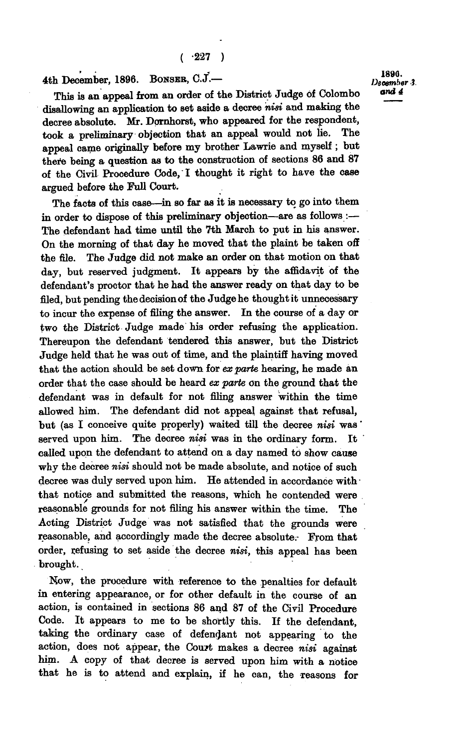4th December, 1896. BONSER, C.J.<sup>-</sup> 1890. 1890. **4th December, 1896. BONSEB, C.J.—** *December i.* 

**This is an appeal from an order of the District Judge of Colombo disallowing an application to set aside a decree** *nisi* **and making the decree absolute. Mr. Dornhorst, who appeared for the respondent,**  took a preliminary objection that an appeal would not lie. **appeal came originally before my brother Lawrie and myself ; but there being a question as to the construction of sections 86 and 87 of the Civil Procedure Code,"I thought it right to have the case argued before the Full Court.** 

**The facts of this case—in so far as it is necessary to go into them in order to dispose of this preliminary objection—are as follows:— The defendant had time until the 7th March to put in his answer. On the morning of that day he moved that the plaint be taken off the file. The Judge did not make an order on that motion on that day, but reserved judgment. It appears by the affidavit of the defendant's proctor that he had the answer ready on that day to be filed, but pending the decision of the Judge he thought it unnecessary to incur the expense of filing the answer. In the course of a day or two the District Judge made his order refusing the application. Thereupon the defendant tendered this answer, but the District Judge held that he was out of time, and the plaintiff having moved that the action should be set down for** *ex parte* **hearing, he made an order that the case should be heard** *ex parte* **on the ground that the defendant was in default for not filing answer within the time allowed him. The defendant did not appeal against that refusal, but (as I conceive quite properly) waited till the decree** *nisi* **was' served upon him. The decree** *nisi* **was in the ordinary form. It called upon the defendant to attend on a day named to show cause why the decree** *nisi* **should not be made absolute, and notice of such decree was duly served upon him. He attended in accordance withthat notice and submitted the reasons, which he contended were reasonable grounds for not filing his answer within the time. The Acting District Judge was not satisfied that the grounds were reasonable, and accordingly made the decree absolute.- From that order, refusing to set aside the decree** *nisi,* **this appeal has been brought.** 

**Now, the procedure with reference to the penalties for default in entering appearance, or for other default in the course of an action, is contained in sections 86 and 87 of the Civil Procedure Code. It appears to me to be shortly this.** *1i* **the defendant, taking the ordinary case of defendant not appearing to the action, does not appear, the Court makes a decree** *nisi* **against him. A copy of that decree is served upon him with a notice that he is to attend and explain, if he can, the reasons for**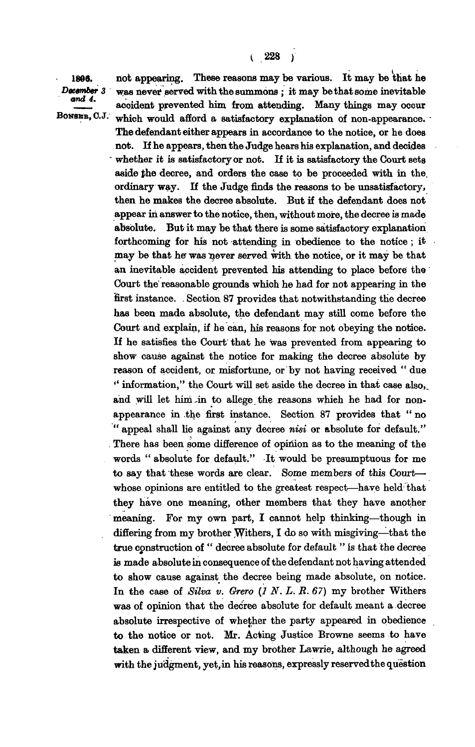**1806. not appearing. These reasons may be various. It may be that he**  *December 3* **was never served with the summons; it may be that some inevitable acoident prevented him from attending. Many things may occur BONSER, C.J.** which would afford a satisfactory explanation of non-appearance. which would afford a satisfactory explanation of non-appearance.

> **The defendant either appears in accordance to the notice, or he does not. If he appears, then the Judge hears his explanation, and decides**  whether it is satisfactory or not. If it is satisfactory the Court sets **aside the decree, and orders the case to be proceeded with in the. ordinary way. If the Judge finds the reasons to be unsatisfactory, then he makes the decree absolute. But if the defendant does not**  appear in answer to the notice, then, without more, the decree is made **absolute. But it may be that there is some satisfactory explanation forthcoming for his not attending in obedience to the notice; it may be that he was liever served with the notice, or it may be that an inevitable accident prevented his attending to place before the Court the' reasonable grounds which he had for not appearing in the first instance. . Section 87 provides that notwithstanding the decree has been made absolute, the defendant may still come before the Court and explain, if he can, his reasons for not obeying the notice. If he satisfies the Court that he was prevented from appearing to show cause against the notice for making the decree absolute by reason of accident, or misfortune, or by not having received " due " information," the Court will set aside the decree in that case also,\_**  and will let him in to allege the reasons which he had for non**appearance in .the first instance. Section 87 provides that " no " appeal shall he against any decree** *nisi* **or absolute for default." There has been some difference of opinion as to the meaning of the words " absolute for default." It would be presumptuous for me to say that these words are clear. Some members of this Court whose opinions are entitled to the greatest respect—haye held that they have one meaning, other members that they have another meaning. For my own part, I cannot help thinking—though in differing from my brother Withers, I do so with misgiving—that the true construction of " decree absolute for default " is that the decree is made absolute in consequence of the defendant not having attended to show cause against the decree being made absolute, on notice. In the case of** *Silva v. Grero (1 N. L. B. 67)* **my brother Withers was of opinion that the decree absolute for default meant a decree absolute irrespective of whether the party appeared in obedience to the notice or not. Mr. Acting Justice Browne seems to have taken a different view, and my brother Lawrie, although he agreed**  with the judgment, yet, in his reasons, expressly reserved the question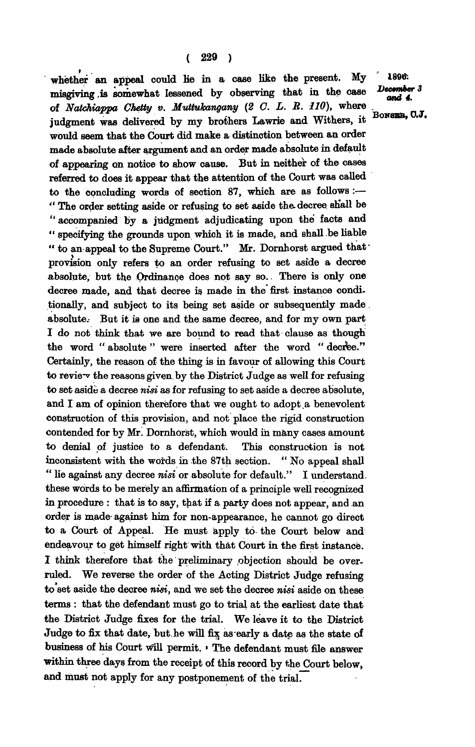whether an appeal could lie in a case like the present. My <sup>2</sup> 1896: **misgiving ,is somewhat lessened by observing that in the case of** *Natchiappa Chetty v. Muttuhangany (2 C. L. B. 110),* **where judgment was delivered by my brothers Lawrie and Withers, it would seem that the Court did make a distinction between an order made absolute after argument and an order made absolute in default of appearing on notice to show cause. But in neither of the cases referred to does it appear that the attention of the Court was called to the concluding words of section 87, which are as follows :— " The order setting aside or refusing to set aside the. decree shall be " accompanied by a judgment adjudicating upon the facts and " specifying the grounds upon which it is made, and shall be liable " to an appeal to the Supreme Court." Mr. Dornhorst argued thatprovision only refers to an order refusing to set aside a decree absolute, but the Ordinance does not say so.. There is only one decree made, and that decree is made in the first instance conditionally, and subject to its being set aside or subsequently made. absolute.- But it is one and the same decree, and for my own part I do not think that we are bound to read that clause as though**  the word " absolute " were inserted after the word " decree." **Certainly, the reason of the thing is in favour of allowing this Court to review the reasons given by the District Judge as well for refusing to set aside a decree** *nisi* **as for refusing to set aside a decree absolute, and I am of opinion therefore that we ought to adopt .a benevolent construction of this provision, and not place the rigid construction contended for by Mr. Dornhorst, which would in many cases amount to denial of justice to a defendant. This construction is not inconsistent with the words in the 87th section. " No appeal shall " lie against any decree** *nisi* **or absolute for default." I understand, these words to be merely an affirmation of a principle well recognized in procedure : that is to say, that if a party does not appear, and an order is made- against him for non-appearance, he cannot go direct to a Court of Appeal. He must apply to the Court below and endeavour to get himself right with that Court in the first instance. I think therefore that the preliminary objection should be overruled. We reverse the order of the Acting District Judge refusing to set aside the decree** *nisi,* **and we set the decree** *nisi* **aside on these terms : that the defendant must go to trial at the earliest date that the District Judge for the trial.** We have the trial the District Library in the District **Vidge** the District Judge fixes for the trial. We leave it to the District Judge to fix that date, but he will fix as early a date as the state of business of his Court will permit. ' The defendant must file answer within three days from the receipt of this record by the Court below, and must not apply for any postponement of the trial.

*<u>December 3</u>*  $\frac{1}{2}$ 

**BoNSBB, 0 . J.**